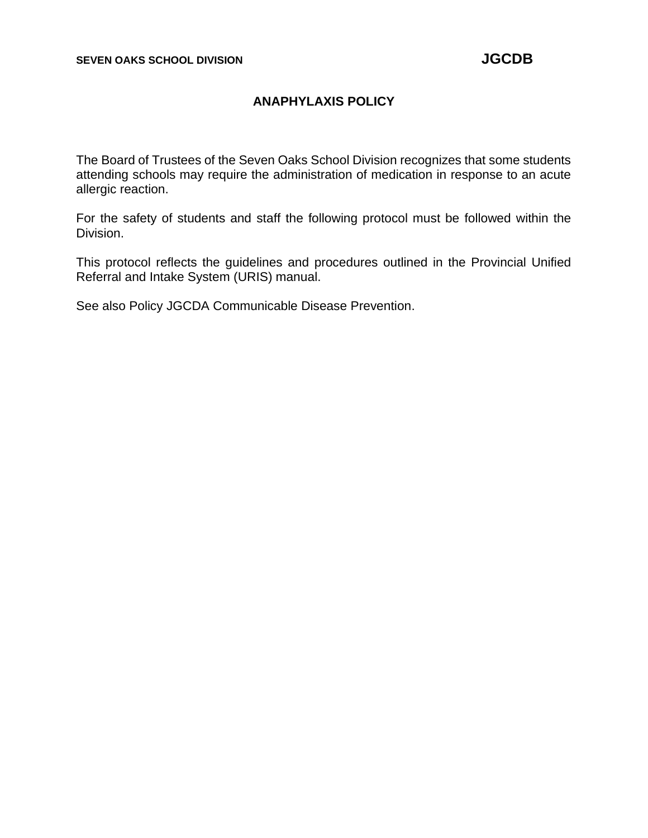## **ANAPHYLAXIS POLICY**

The Board of Trustees of the Seven Oaks School Division recognizes that some students attending schools may require the administration of medication in response to an acute allergic reaction.

For the safety of students and staff the following protocol must be followed within the Division.

This protocol reflects the guidelines and procedures outlined in the Provincial Unified Referral and Intake System (URIS) manual.

See also Policy JGCDA Communicable Disease Prevention.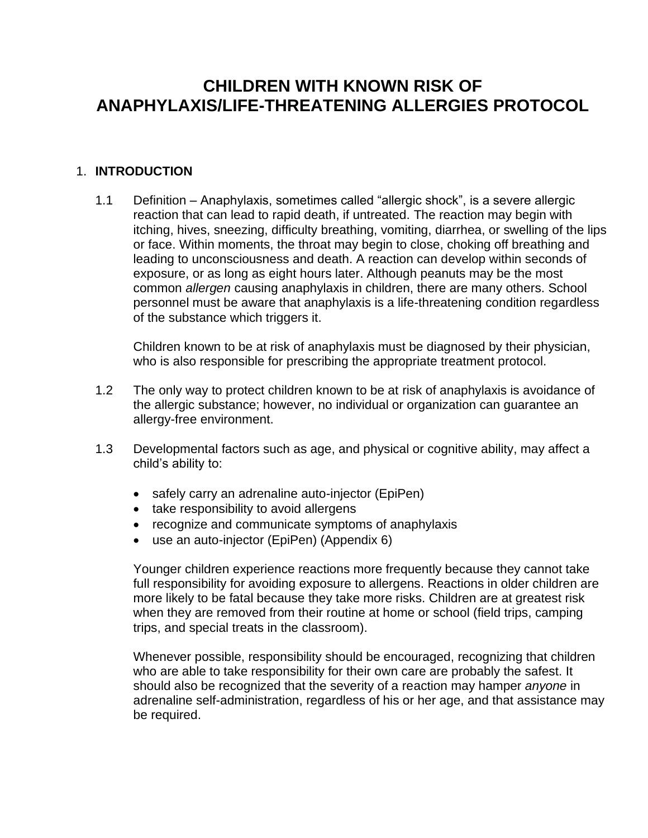# **CHILDREN WITH KNOWN RISK OF ANAPHYLAXIS/LIFE-THREATENING ALLERGIES PROTOCOL**

#### 1. **INTRODUCTION**

1.1 Definition – Anaphylaxis, sometimes called "allergic shock", is a severe allergic reaction that can lead to rapid death, if untreated. The reaction may begin with itching, hives, sneezing, difficulty breathing, vomiting, diarrhea, or swelling of the lips or face. Within moments, the throat may begin to close, choking off breathing and leading to unconsciousness and death. A reaction can develop within seconds of exposure, or as long as eight hours later. Although peanuts may be the most common *allergen* causing anaphylaxis in children, there are many others. School personnel must be aware that anaphylaxis is a life-threatening condition regardless of the substance which triggers it.

Children known to be at risk of anaphylaxis must be diagnosed by their physician, who is also responsible for prescribing the appropriate treatment protocol.

- 1.2 The only way to protect children known to be at risk of anaphylaxis is avoidance of the allergic substance; however, no individual or organization can guarantee an allergy-free environment.
- 1.3 Developmental factors such as age, and physical or cognitive ability, may affect a child's ability to:
	- safely carry an adrenaline auto-injector (EpiPen)
	- take responsibility to avoid allergens
	- recognize and communicate symptoms of anaphylaxis
	- use an auto-injector (EpiPen) (Appendix 6)

Younger children experience reactions more frequently because they cannot take full responsibility for avoiding exposure to allergens. Reactions in older children are more likely to be fatal because they take more risks. Children are at greatest risk when they are removed from their routine at home or school (field trips, camping trips, and special treats in the classroom).

Whenever possible, responsibility should be encouraged, recognizing that children who are able to take responsibility for their own care are probably the safest. It should also be recognized that the severity of a reaction may hamper *anyone* in adrenaline self-administration, regardless of his or her age, and that assistance may be required.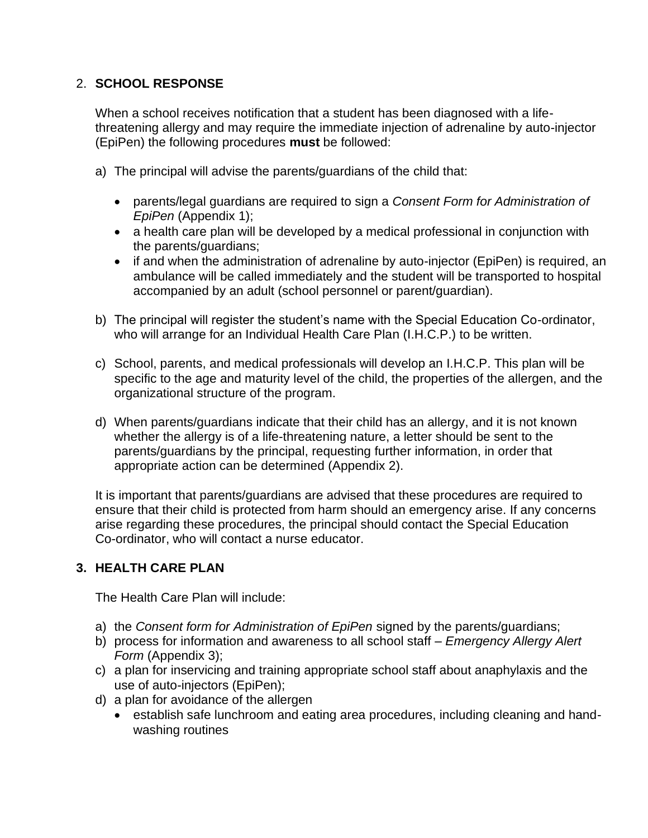## 2. **SCHOOL RESPONSE**

When a school receives notification that a student has been diagnosed with a lifethreatening allergy and may require the immediate injection of adrenaline by auto-injector (EpiPen) the following procedures **must** be followed:

- a) The principal will advise the parents/guardians of the child that:
	- parents/legal guardians are required to sign a *Consent Form for Administration of EpiPen* (Appendix 1);
	- a health care plan will be developed by a medical professional in conjunction with the parents/guardians;
	- if and when the administration of adrenaline by auto-injector (EpiPen) is required, an ambulance will be called immediately and the student will be transported to hospital accompanied by an adult (school personnel or parent/guardian).
- b) The principal will register the student's name with the Special Education Co-ordinator, who will arrange for an Individual Health Care Plan (I.H.C.P.) to be written.
- c) School, parents, and medical professionals will develop an I.H.C.P. This plan will be specific to the age and maturity level of the child, the properties of the allergen, and the organizational structure of the program.
- d) When parents/guardians indicate that their child has an allergy, and it is not known whether the allergy is of a life-threatening nature, a letter should be sent to the parents/guardians by the principal, requesting further information, in order that appropriate action can be determined (Appendix 2).

It is important that parents/guardians are advised that these procedures are required to ensure that their child is protected from harm should an emergency arise. If any concerns arise regarding these procedures, the principal should contact the Special Education Co-ordinator, who will contact a nurse educator.

## **3. HEALTH CARE PLAN**

The Health Care Plan will include:

- a) the *Consent form for Administration of EpiPen* signed by the parents/guardians;
- b) process for information and awareness to all school staff *Emergency Allergy Alert Form* (Appendix 3);
- c) a plan for inservicing and training appropriate school staff about anaphylaxis and the use of auto-injectors (EpiPen);
- d) a plan for avoidance of the allergen
	- establish safe lunchroom and eating area procedures, including cleaning and handwashing routines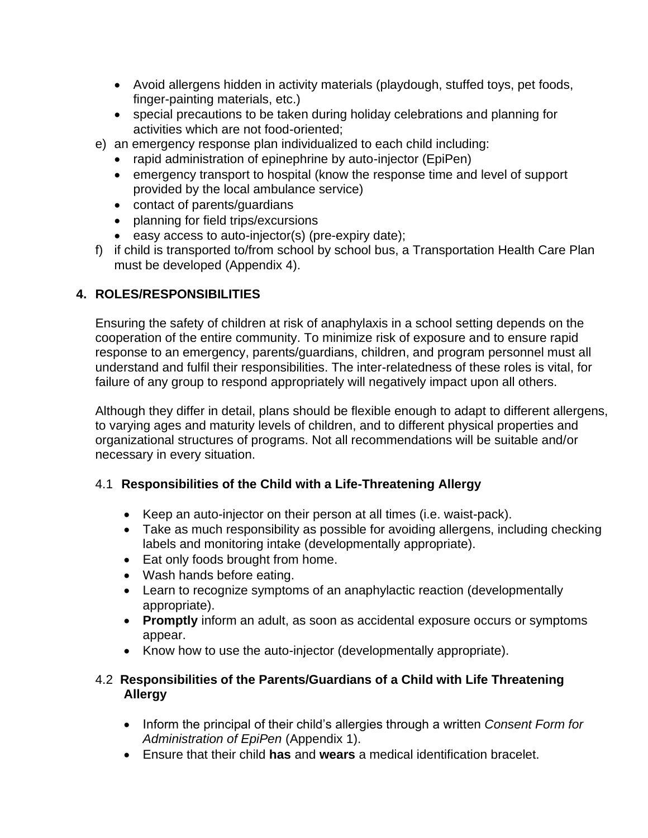- Avoid allergens hidden in activity materials (playdough, stuffed toys, pet foods, finger-painting materials, etc.)
- special precautions to be taken during holiday celebrations and planning for activities which are not food-oriented;
- e) an emergency response plan individualized to each child including:
	- rapid administration of epinephrine by auto-injector (EpiPen)
	- emergency transport to hospital (know the response time and level of support provided by the local ambulance service)
	- contact of parents/guardians
	- planning for field trips/excursions
	- easy access to auto-injector(s) (pre-expiry date);
- f) if child is transported to/from school by school bus, a Transportation Health Care Plan must be developed (Appendix 4).

# **4. ROLES/RESPONSIBILITIES**

Ensuring the safety of children at risk of anaphylaxis in a school setting depends on the cooperation of the entire community. To minimize risk of exposure and to ensure rapid response to an emergency, parents/guardians, children, and program personnel must all understand and fulfil their responsibilities. The inter-relatedness of these roles is vital, for failure of any group to respond appropriately will negatively impact upon all others.

Although they differ in detail, plans should be flexible enough to adapt to different allergens, to varying ages and maturity levels of children, and to different physical properties and organizational structures of programs. Not all recommendations will be suitable and/or necessary in every situation.

# 4.1 **Responsibilities of the Child with a Life-Threatening Allergy**

- Keep an auto-injector on their person at all times (i.e. waist-pack).
- Take as much responsibility as possible for avoiding allergens, including checking labels and monitoring intake (developmentally appropriate).
- Eat only foods brought from home.
- Wash hands before eating.
- Learn to recognize symptoms of an anaphylactic reaction (developmentally appropriate).
- **Promptly** inform an adult, as soon as accidental exposure occurs or symptoms appear.
- Know how to use the auto-injector (developmentally appropriate).

## 4.2 **Responsibilities of the Parents/Guardians of a Child with Life Threatening Allergy**

- Inform the principal of their child's allergies through a written *Consent Form for Administration of EpiPen* (Appendix 1).
- Ensure that their child **has** and **wears** a medical identification bracelet.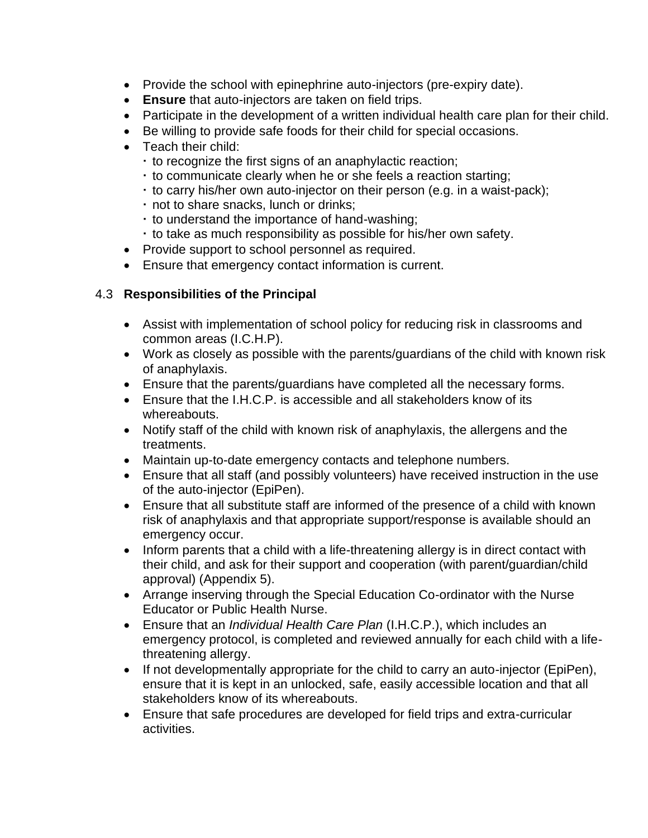- Provide the school with epinephrine auto-injectors (pre-expiry date).
- **Ensure** that auto-injectors are taken on field trips.
- Participate in the development of a written individual health care plan for their child.
- Be willing to provide safe foods for their child for special occasions.
- Teach their child:
	- $\cdot$  to recognize the first signs of an anaphylactic reaction;
	- to communicate clearly when he or she feels a reaction starting;
	- $\cdot$  to carry his/her own auto-injector on their person (e.g. in a waist-pack);
	- not to share snacks, lunch or drinks;
	- to understand the importance of hand-washing;
	- $\cdot$  to take as much responsibility as possible for his/her own safety.
- Provide support to school personnel as required.
- Ensure that emergency contact information is current.

## 4.3 **Responsibilities of the Principal**

- Assist with implementation of school policy for reducing risk in classrooms and common areas (I.C.H.P).
- Work as closely as possible with the parents/guardians of the child with known risk of anaphylaxis.
- Ensure that the parents/guardians have completed all the necessary forms.
- Ensure that the I.H.C.P. is accessible and all stakeholders know of its whereabouts.
- Notify staff of the child with known risk of anaphylaxis, the allergens and the treatments.
- Maintain up-to-date emergency contacts and telephone numbers.
- Ensure that all staff (and possibly volunteers) have received instruction in the use of the auto-injector (EpiPen).
- Ensure that all substitute staff are informed of the presence of a child with known risk of anaphylaxis and that appropriate support/response is available should an emergency occur.
- Inform parents that a child with a life-threatening allergy is in direct contact with their child, and ask for their support and cooperation (with parent/guardian/child approval) (Appendix 5).
- Arrange inserving through the Special Education Co-ordinator with the Nurse Educator or Public Health Nurse.
- Ensure that an *Individual Health Care Plan* (I.H.C.P.), which includes an emergency protocol, is completed and reviewed annually for each child with a lifethreatening allergy.
- If not developmentally appropriate for the child to carry an auto-injector (EpiPen), ensure that it is kept in an unlocked, safe, easily accessible location and that all stakeholders know of its whereabouts.
- Ensure that safe procedures are developed for field trips and extra-curricular activities.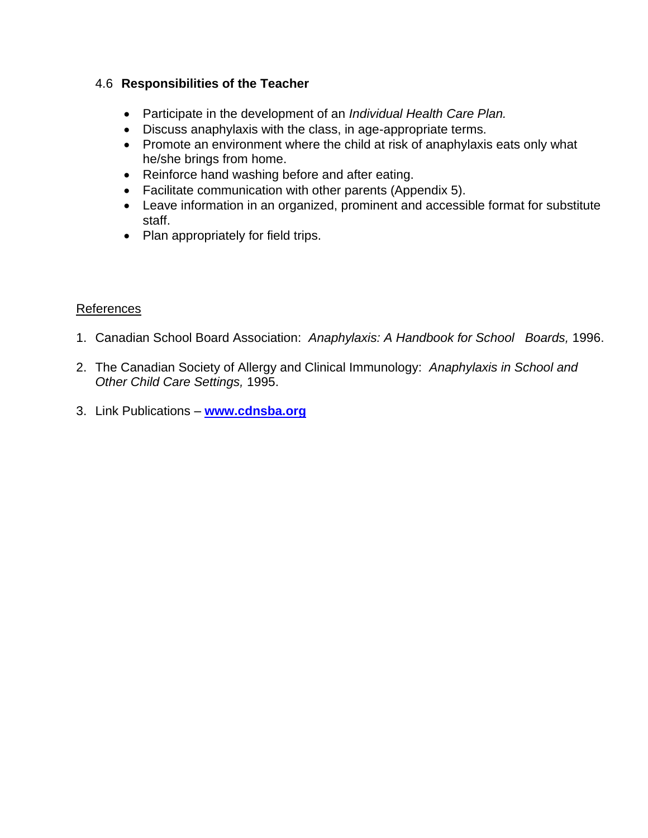## 4.6 **Responsibilities of the Teacher**

- Participate in the development of an *Individual Health Care Plan.*
- Discuss anaphylaxis with the class, in age-appropriate terms.
- Promote an environment where the child at risk of anaphylaxis eats only what he/she brings from home.
- Reinforce hand washing before and after eating.
- Facilitate communication with other parents (Appendix 5).
- Leave information in an organized, prominent and accessible format for substitute staff.
- Plan appropriately for field trips.

## References

- 1. Canadian School Board Association: *Anaphylaxis: A Handbook for School Boards,* 1996.
- 2. The Canadian Society of Allergy and Clinical Immunology: *Anaphylaxis in School and Other Child Care Settings,* 1995.
- 3. Link Publications **[www.cdnsba.org](http://www.cdnsba.org/)**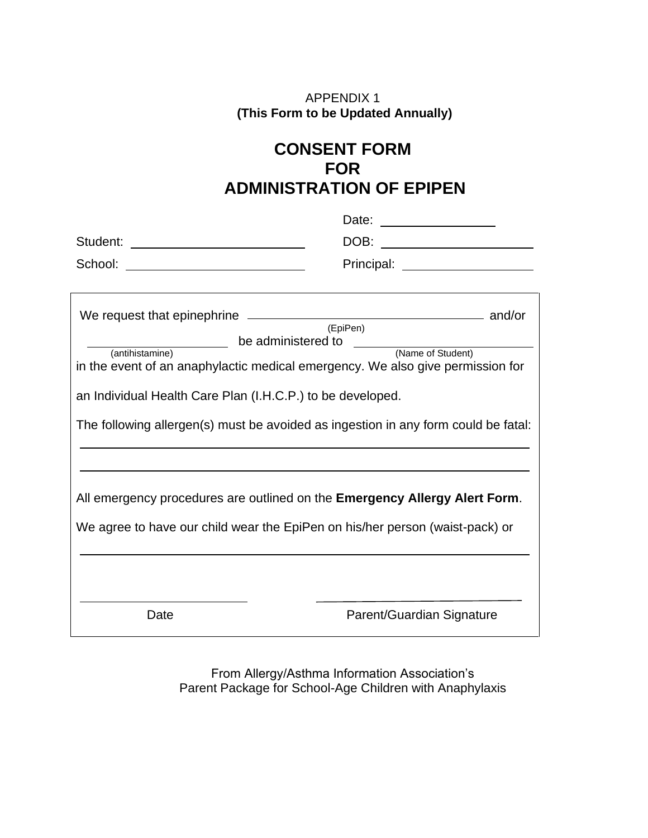## APPENDIX 1 **(This Form to be Updated Annually)**

# **CONSENT FORM FOR ADMINISTRATION OF EPIPEN**

|                                                                                    | DOB:<br><u> 1980 - Johann Stoff, deutscher Stoffen und der Stoffen und der Stoffen und der Stoffen und der Stoffen und der</u> |  |  |  |  |
|------------------------------------------------------------------------------------|--------------------------------------------------------------------------------------------------------------------------------|--|--|--|--|
|                                                                                    | Principal: ______________________                                                                                              |  |  |  |  |
|                                                                                    |                                                                                                                                |  |  |  |  |
|                                                                                    |                                                                                                                                |  |  |  |  |
| be administered to                                                                 | (EpiPen)                                                                                                                       |  |  |  |  |
| (Name of Student)<br>(antihistamine)                                               |                                                                                                                                |  |  |  |  |
| in the event of an anaphylactic medical emergency. We also give permission for     |                                                                                                                                |  |  |  |  |
| an Individual Health Care Plan (I.H.C.P.) to be developed.                         |                                                                                                                                |  |  |  |  |
| The following allergen(s) must be avoided as ingestion in any form could be fatal: |                                                                                                                                |  |  |  |  |
|                                                                                    |                                                                                                                                |  |  |  |  |
| All emergency procedures are outlined on the Emergency Allergy Alert Form.         |                                                                                                                                |  |  |  |  |
| We agree to have our child wear the EpiPen on his/her person (waist-pack) or       |                                                                                                                                |  |  |  |  |
|                                                                                    |                                                                                                                                |  |  |  |  |
| Date                                                                               | Parent/Guardian Signature                                                                                                      |  |  |  |  |

From Allergy/Asthma Information Association's Parent Package for School-Age Children with Anaphylaxis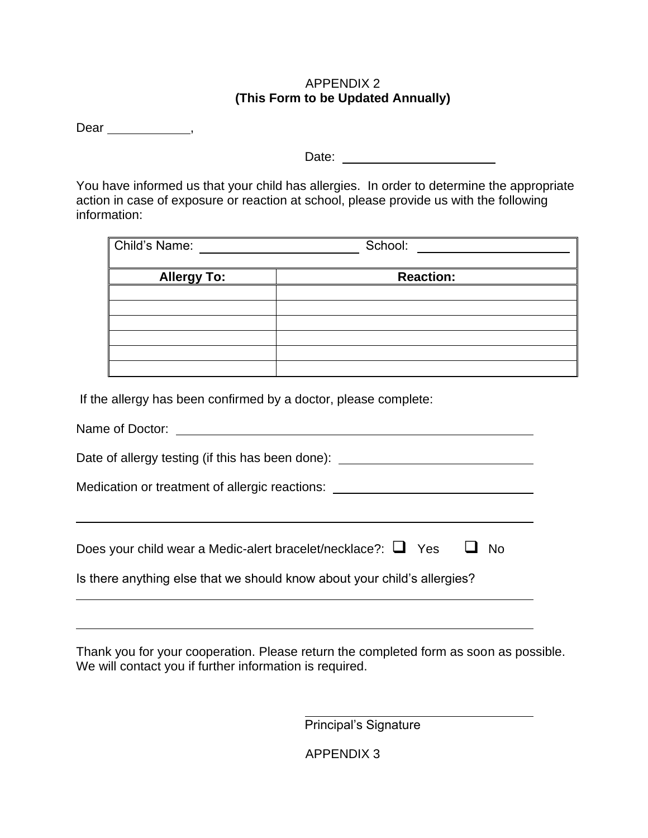#### APPENDIX 2 **(This Form to be Updated Annually)**

Dear \_\_\_\_\_\_\_\_\_\_\_\_\_\_\_\_,

Date:

You have informed us that your child has allergies. In order to determine the appropriate action in case of exposure or reaction at school, please provide us with the following information:

| Child's Name:      | School:          |
|--------------------|------------------|
| <b>Allergy To:</b> | <b>Reaction:</b> |
|                    |                  |
|                    |                  |
|                    |                  |
|                    |                  |
|                    |                  |
|                    |                  |

If the allergy has been confirmed by a doctor, please complete:

| Name of Doctor:                                                                                                                                       |
|-------------------------------------------------------------------------------------------------------------------------------------------------------|
| Date of allergy testing (if this has been done):                                                                                                      |
| Medication or treatment of allergic reactions:                                                                                                        |
| Does your child wear a Medic-alert bracelet/necklace?: $\Box$ Yes<br>- No<br>Is there anything else that we should know about your child's allergies? |
|                                                                                                                                                       |

Thank you for your cooperation. Please return the completed form as soon as possible. We will contact you if further information is required.

Principal's Signature

APPENDIX 3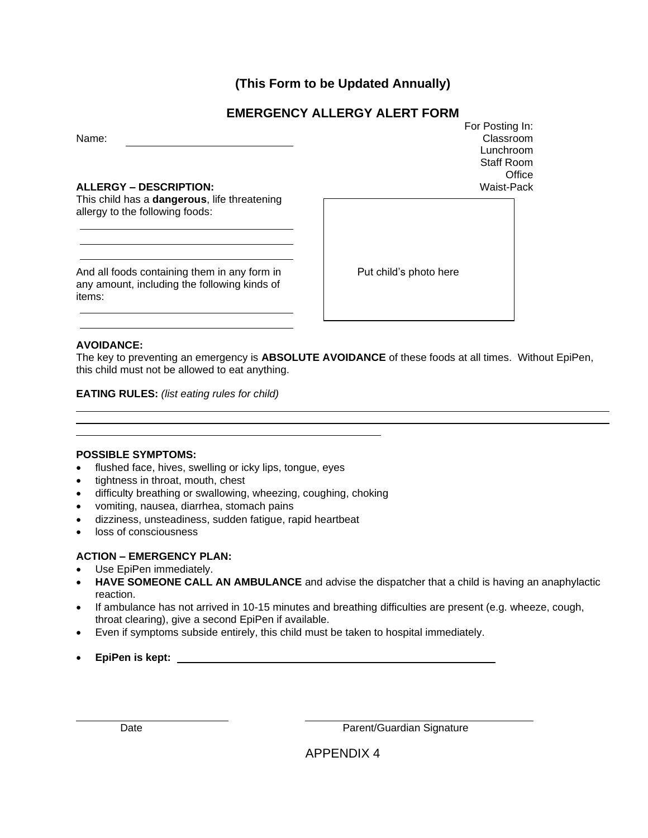**(This Form to be Updated Annually)**

## **EMERGENCY ALLERGY ALERT FORM**

Name:

#### **ALLERGY – DESCRIPTION:**

This child has a **dangerous**, life threatening allergy to the following foods:

And all foods containing them in any form in any amount, including the following kinds of items:

For Posting In: Classroom Lunchroom Staff Room **Office** Waist-Pack

Put child's photo here

#### **AVOIDANCE:**

The key to preventing an emergency is **ABSOLUTE AVOIDANCE** of these foods at all times. Without EpiPen, this child must not be allowed to eat anything.

**EATING RULES:** *(list eating rules for child)*

#### **POSSIBLE SYMPTOMS:**

- flushed face, hives, swelling or icky lips, tongue, eyes
- tightness in throat, mouth, chest
- difficulty breathing or swallowing, wheezing, coughing, choking
- vomiting, nausea, diarrhea, stomach pains
- dizziness, unsteadiness, sudden fatigue, rapid heartbeat
- loss of consciousness

#### **ACTION – EMERGENCY PLAN:**

- Use EpiPen immediately.
- **HAVE SOMEONE CALL AN AMBULANCE** and advise the dispatcher that a child is having an anaphylactic reaction.
- If ambulance has not arrived in 10-15 minutes and breathing difficulties are present (e.g. wheeze, cough, throat clearing), give a second EpiPen if available.
- Even if symptoms subside entirely, this child must be taken to hospital immediately.
- **EpiPen is kept:**

Date **Date** Parent/Guardian Signature

APPENDIX 4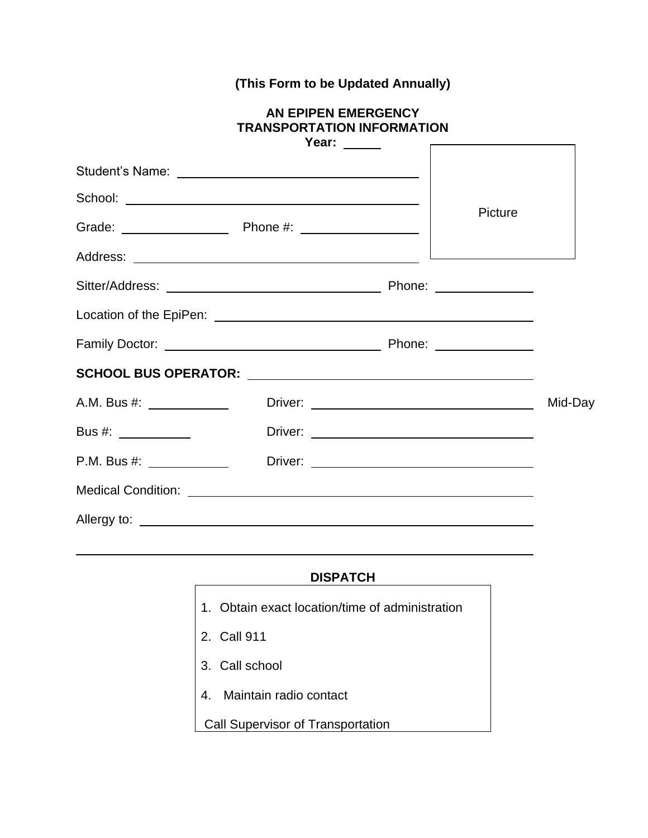# **(This Form to be Updated Annually)**

#### **AN EPIPEN EMERGENCY TRANSPORTATION INFORMATION Year:**

|                           | rear: |         |         |  |
|---------------------------|-------|---------|---------|--|
|                           |       |         |         |  |
|                           |       |         |         |  |
|                           |       | Picture |         |  |
|                           |       |         |         |  |
|                           |       |         |         |  |
|                           |       |         |         |  |
|                           |       |         |         |  |
|                           |       |         |         |  |
| A.M. Bus #: _____________ |       |         | Mid-Day |  |
|                           |       |         |         |  |
| P.M. Bus #: _____________ |       |         |         |  |
|                           |       |         |         |  |
|                           |       |         |         |  |

#### **DISPATCH**

1. Obtain exact location/time of administration 2. Call 911 3. Call school 4. Maintain radio contact Call Supervisor of Transportation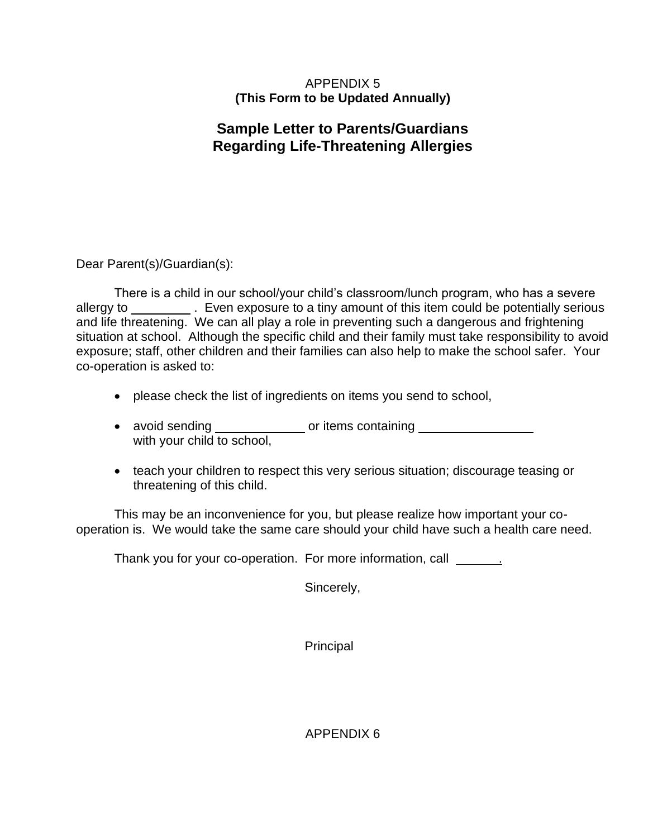#### APPENDIX 5 **(This Form to be Updated Annually)**

# **Sample Letter to Parents/Guardians Regarding Life-Threatening Allergies**

Dear Parent(s)/Guardian(s):

There is a child in our school/your child's classroom/lunch program, who has a severe allergy to \_\_\_\_\_\_\_\_\_\_\_. Even exposure to a tiny amount of this item could be potentially serious and life threatening. We can all play a role in preventing such a dangerous and frightening situation at school. Although the specific child and their family must take responsibility to avoid exposure; staff, other children and their families can also help to make the school safer. Your co-operation is asked to:

- please check the list of ingredients on items you send to school,
- avoid sending \_\_\_\_\_\_\_\_\_\_\_\_\_\_\_ or items containing with your child to school,
- teach your children to respect this very serious situation; discourage teasing or threatening of this child.

This may be an inconvenience for you, but please realize how important your cooperation is. We would take the same care should your child have such a health care need.

Thank you for your co-operation. For more information, call \_\_\_\_\_\_\_\_\_

Sincerely,

**Principal** 

APPENDIX 6